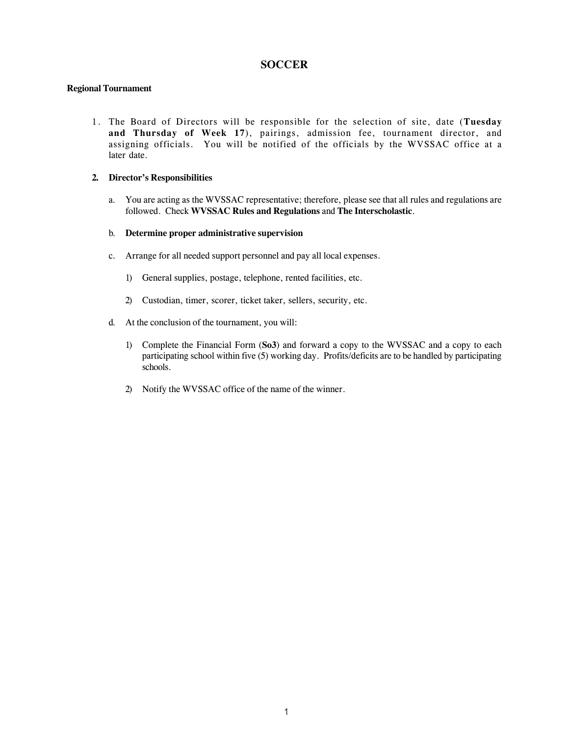### **SOCCER**

#### **Regional Tournament**

1. The Board of Directors will be responsible for the selection of site, date (**Tuesday and Thursday of Week 17**), pairings, admission fee, tournament director, and assigning officials. You will be notified of the officials by the WVSSAC office at a later date.

#### **2. Director's Responsibilities**

a. You are acting as the WVSSAC representative; therefore, please see that all rules and regulations are followed. Check **WVSSAC Rules and Regulations** and **The Interscholastic**.

#### b. **Determine proper administrative supervision**

- c. Arrange for all needed support personnel and pay all local expenses.
	- 1) General supplies, postage, telephone, rented facilities, etc.
	- 2) Custodian, timer, scorer, ticket taker, sellers, security, etc.
- d. At the conclusion of the tournament, you will:
	- 1) Complete the Financial Form (**So3**) and forward a copy to the WVSSAC and a copy to each participating school within five (5) working day.Profits/deficits are to be handled by participating schools.
	- 2) Notify the WVSSAC office of the name of the winner.